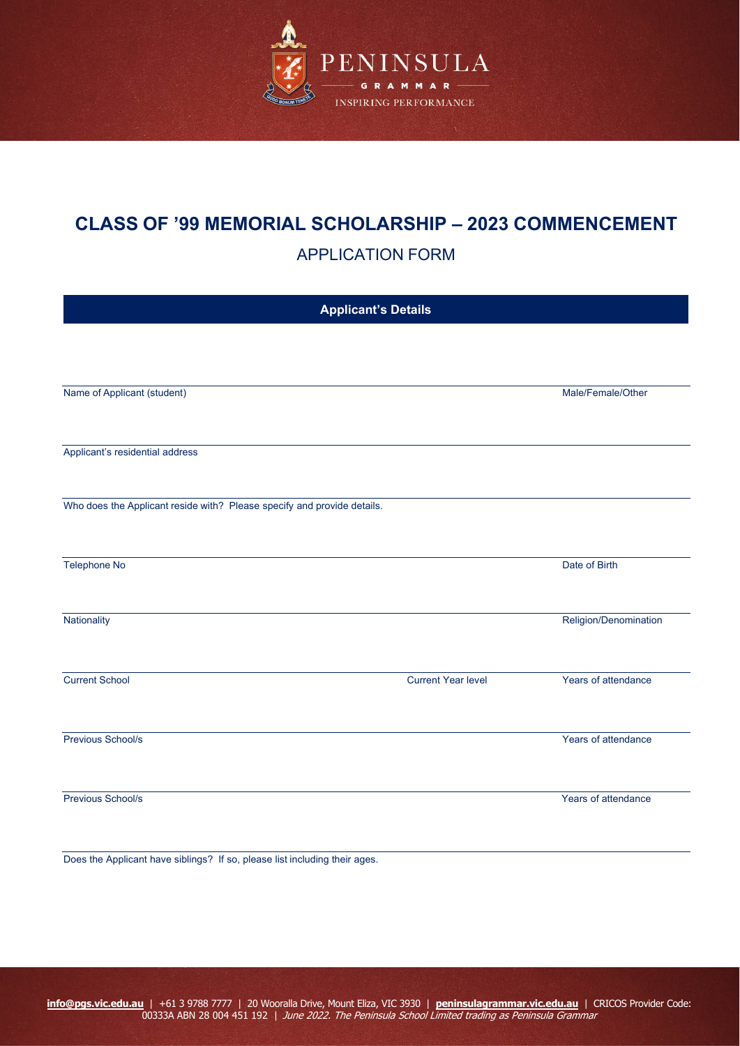

# **CLASS OF '99 MEMORIAL SCHOLARSHIP – 2023 COMMENCEMENT**

APPLICATION FORM

| <b>Applicant's Details</b>                                                 |                           |                       |  |  |
|----------------------------------------------------------------------------|---------------------------|-----------------------|--|--|
|                                                                            |                           |                       |  |  |
|                                                                            |                           |                       |  |  |
| Name of Applicant (student)                                                |                           | Male/Female/Other     |  |  |
|                                                                            |                           |                       |  |  |
| Applicant's residential address                                            |                           |                       |  |  |
|                                                                            |                           |                       |  |  |
| Who does the Applicant reside with? Please specify and provide details.    |                           |                       |  |  |
|                                                                            |                           |                       |  |  |
| Telephone No                                                               |                           | Date of Birth         |  |  |
|                                                                            |                           |                       |  |  |
| Nationality                                                                |                           | Religion/Denomination |  |  |
|                                                                            |                           |                       |  |  |
| <b>Current School</b>                                                      | <b>Current Year level</b> | Years of attendance   |  |  |
|                                                                            |                           |                       |  |  |
| Previous School/s                                                          |                           | Years of attendance   |  |  |
|                                                                            |                           |                       |  |  |
| Previous School/s                                                          |                           | Years of attendance   |  |  |
|                                                                            |                           |                       |  |  |
| Does the Applicant have siblings? If so, please list including their ages. |                           |                       |  |  |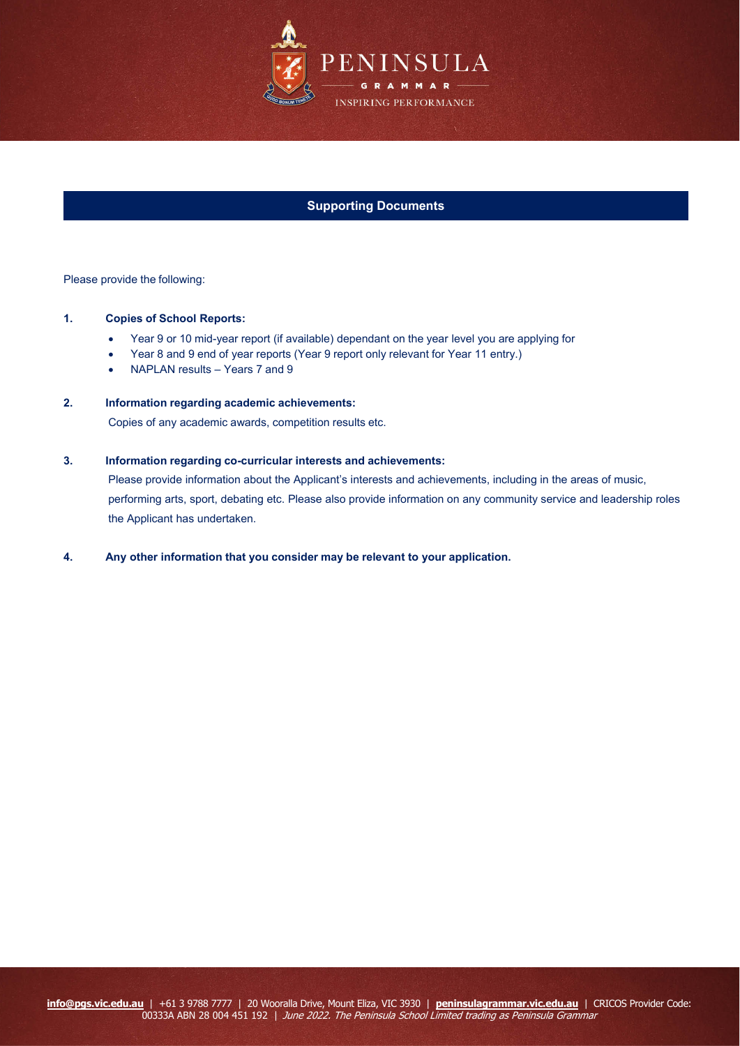

## **Supporting Documents**

Please provide the following:

#### **1. Copies of School Reports:**

- Year 9 or 10 mid-year report (if available) dependant on the year level you are applying for
- Year 8 and 9 end of year reports (Year 9 report only relevant for Year 11 entry.)
- NAPLAN results Years 7 and 9

### **2. Information regarding academic achievements:**

Copies of any academic awards, competition results etc.

#### **3. Information regarding co-curricular interests and achievements:**

Please provide information about the Applicant's interests and achievements, including in the areas of music, performing arts, sport, debating etc. Please also provide information on any community service and leadership roles the Applicant has undertaken.

#### **4. Any other information that you consider may be relevant to your application.**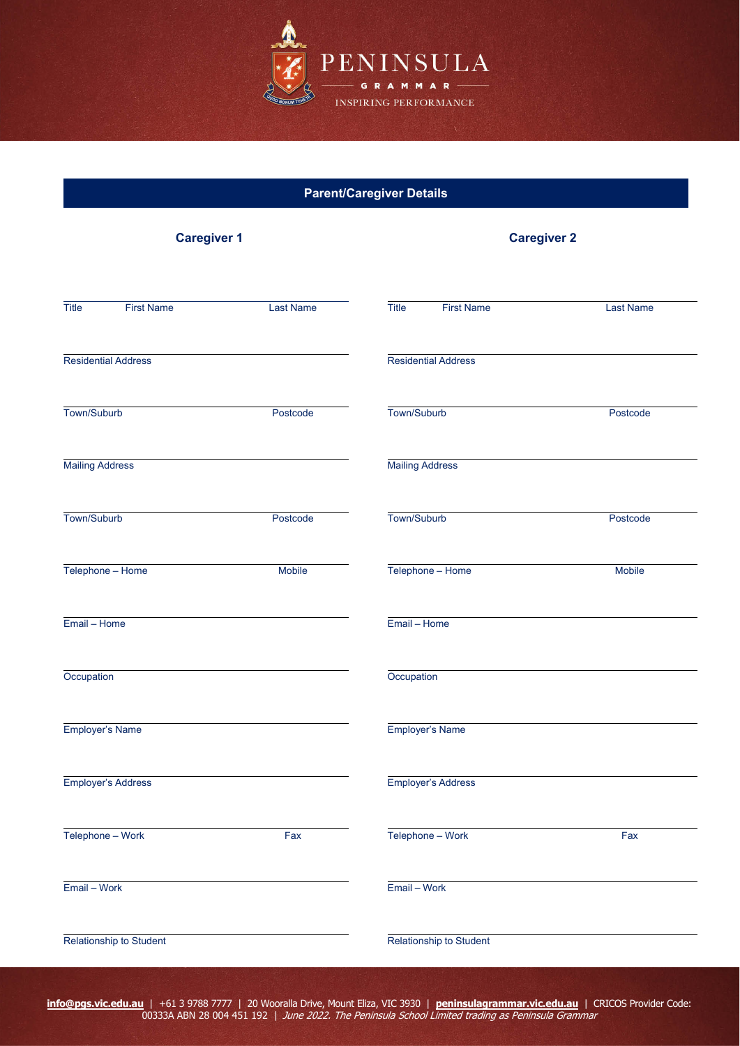

| <b>Parent/Caregiver Details</b> |                  |                                   |                  |  |  |
|---------------------------------|------------------|-----------------------------------|------------------|--|--|
| <b>Caregiver 1</b>              |                  | <b>Caregiver 2</b>                |                  |  |  |
| Title<br><b>First Name</b>      | <b>Last Name</b> | <b>Title</b><br><b>First Name</b> | <b>Last Name</b> |  |  |
| <b>Residential Address</b>      |                  | <b>Residential Address</b>        |                  |  |  |
| Town/Suburb                     | Postcode         | Town/Suburb                       | Postcode         |  |  |
| <b>Mailing Address</b>          |                  | <b>Mailing Address</b>            |                  |  |  |
| Town/Suburb                     | Postcode         | Town/Suburb                       | Postcode         |  |  |
| Telephone - Home                | <b>Mobile</b>    | Telephone - Home                  | <b>Mobile</b>    |  |  |
| Email - Home                    |                  | Email - Home                      |                  |  |  |
| Occupation                      |                  | Occupation                        |                  |  |  |
| Employer's Name                 |                  | Employer's Name                   |                  |  |  |
| Employer's Address              |                  | Employer's Address                |                  |  |  |
| Telephone - Work                | Fax              | Telephone - Work                  | Fax              |  |  |
| Email - Work                    |                  | Email - Work                      |                  |  |  |
| Relationship to Student         |                  | Relationship to Student           |                  |  |  |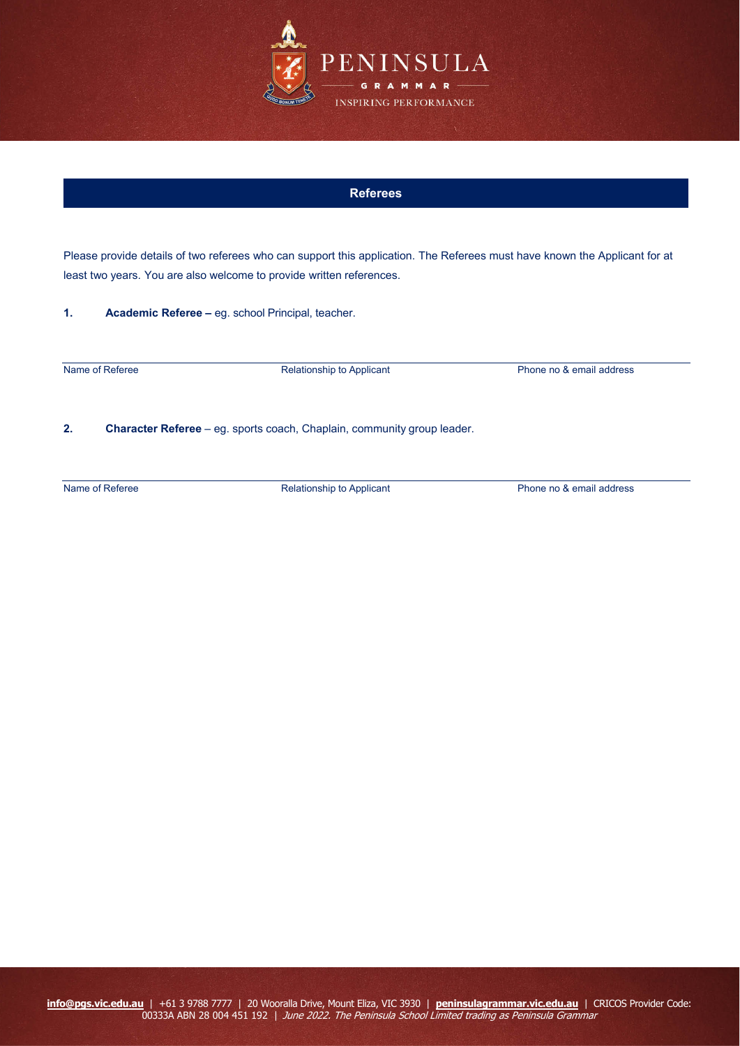

### **Referees**

Please provide details of two referees who can support this application. The Referees must have known the Applicant for at least two years. You are also welcome to provide written references.

**1. Academic Referee –** eg. school Principal, teacher.

Name of Referee **Relationship to Applicant** Phone no & email address

**2. Character Referee** – eg. sports coach, Chaplain, community group leader.

Name of Referee Relationship to Applicant Phone no & email address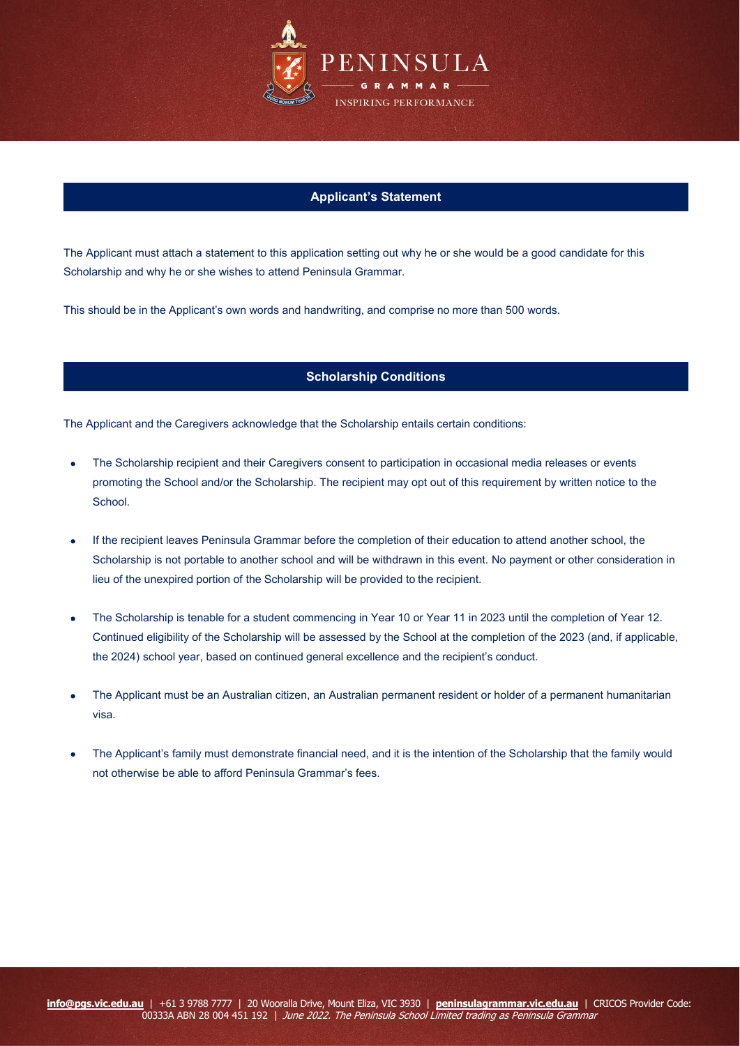

# **Applicant's Statement**

The Applicant must attach a statement to this application setting out why he or she would be a good candidate for this Scholarship and why he or she wishes to attend Peninsula Grammar.

This should be in the Applicant's own words and handwriting, and comprise no more than 500 words.

# **Scholarship Conditions**

The Applicant and the Caregivers acknowledge that the Scholarship entails certain conditions:

- The Scholarship recipient and their Caregivers consent to participation in occasional media releases or events promoting the School and/or the Scholarship. The recipient may opt out of this requirement by written notice to the School.
- If the recipient leaves Peninsula Grammar before the completion of their education to attend another school, the Scholarship is not portable to another school and will be withdrawn in this event. No payment or other consideration in lieu of the unexpired portion of the Scholarship will be provided to the recipient.
- The Scholarship is tenable for a student commencing in Year 10 or Year 11 in 2023 until the completion of Year 12. Continued eligibility of the Scholarship will be assessed by the School at the completion of the 2023 (and, if applicable, the 2024) school year, based on continued general excellence and the recipient's conduct.
- The Applicant must be an Australian citizen, an Australian permanent resident or holder of a permanent humanitarian visa.
- The Applicant's family must demonstrate financial need, and it is the intention of the Scholarship that the family would not otherwise be able to afford Peninsula Grammar's fees.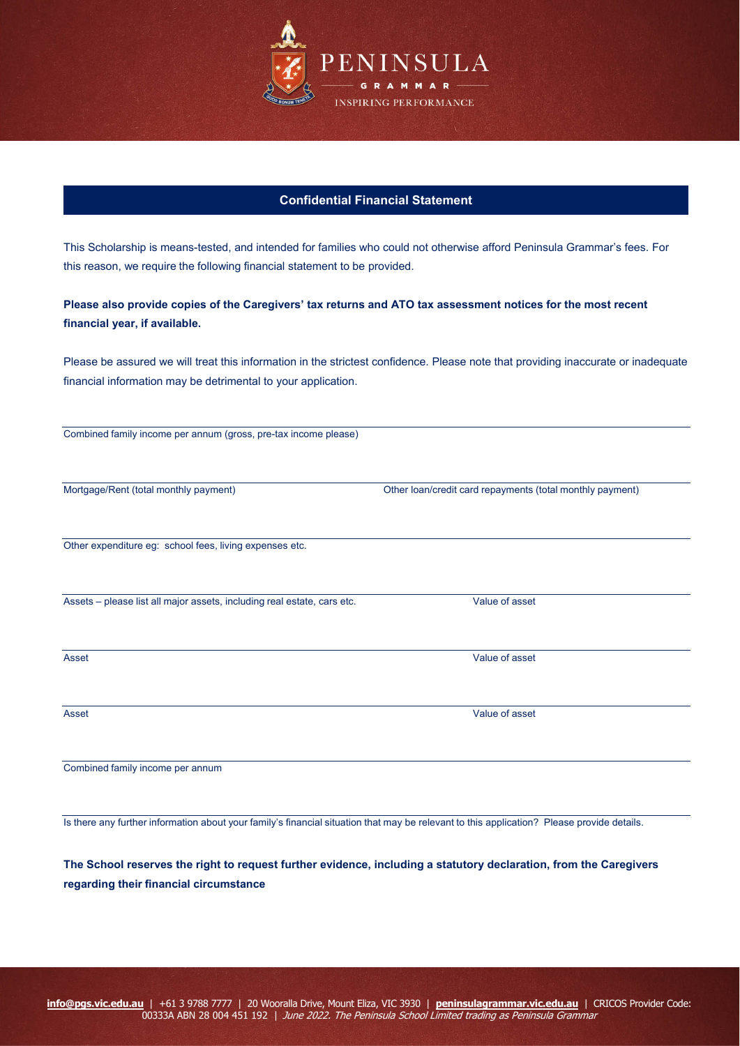

# **Confidential Financial Statement**

This Scholarship is means-tested, and intended for families who could not otherwise afford Peninsula Grammar's fees. For this reason, we require the following financial statement to be provided.

**Please also provide copies of the Caregivers' tax returns and ATO tax assessment notices for the most recent financial year, if available.**

Please be assured we will treat this information in the strictest confidence. Please note that providing inaccurate or inadequate financial information may be detrimental to your application.

Mortgage/Rent (total monthly payment) Other loan/credit card repayments (total monthly payment)

Other expenditure eg: school fees, living expenses etc.

Assets – please list all major assets, including real estate, cars etc. Value of asset

Combined family income per annum

Is there any further information about your family's financial situation that may be relevant to this application? Please provide details.

**The School reserves the right to request further evidence, including a statutory declaration, from the Caregivers regarding their financial circumstance**

Asset Value of asset

Asset Value of asset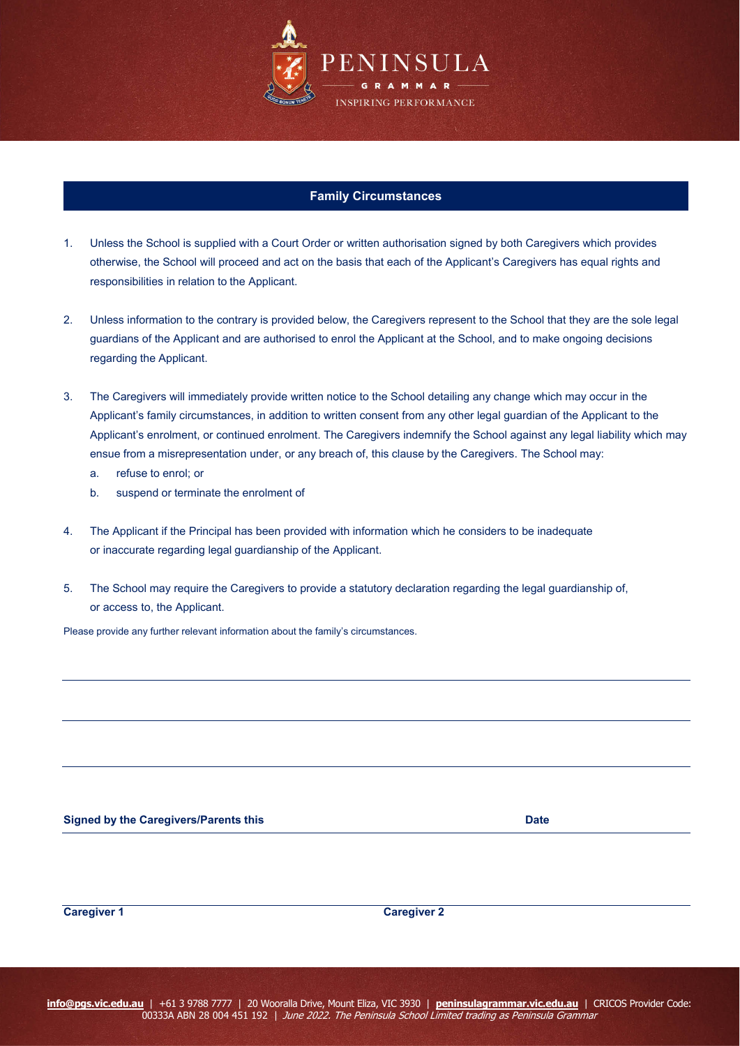

## **Family Circumstances**

- 1. Unless the School is supplied with a Court Order or written authorisation signed by both Caregivers which provides otherwise, the School will proceed and act on the basis that each of the Applicant's Caregivers has equal rights and responsibilities in relation to the Applicant.
- 2. Unless information to the contrary is provided below, the Caregivers represent to the School that they are the sole legal guardians of the Applicant and are authorised to enrol the Applicant at the School, and to make ongoing decisions regarding the Applicant.
- 3. The Caregivers will immediately provide written notice to the School detailing any change which may occur in the Applicant's family circumstances, in addition to written consent from any other legal guardian of the Applicant to the Applicant's enrolment, or continued enrolment. The Caregivers indemnify the School against any legal liability which may ensue from a misrepresentation under, or any breach of, this clause by the Caregivers. The School may:
	- a. refuse to enrol; or
	- b. suspend or terminate the enrolment of
- 4. The Applicant if the Principal has been provided with information which he considers to be inadequate or inaccurate regarding legal guardianship of the Applicant.
- 5. The School may require the Caregivers to provide a statutory declaration regarding the legal guardianship of, or access to, the Applicant.

Please provide any further relevant information about the family's circumstances.

| <b>Signed by the Caregivers/Parents this</b> | Date |
|----------------------------------------------|------|
|----------------------------------------------|------|

**Caregiver 1 Caregiver 2**